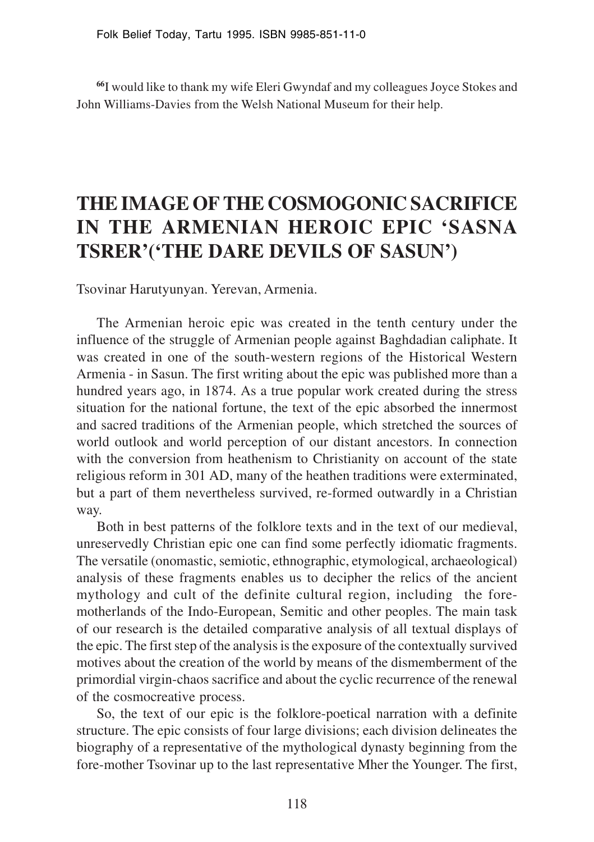**<sup>66</sup>**I would like to thank my wife Eleri Gwyndaf and my colleagues Joyce Stokes and John Williams-Davies from the Welsh National Museum for their help.

## **THE IMAGE OF THE COSMOGONIC SACRIFICE IN THE ARMENIAN HEROIC EPIC 'SASNA TSRER'('THE DARE DEVILS OF SASUN')**

Tsovinar Harutyunyan. Yerevan, Armenia.

The Armenian heroic epic was created in the tenth century under the influence of the struggle of Armenian people against Baghdadian caliphate. It was created in one of the south-western regions of the Historical Western Armenia - in Sasun. The first writing about the epic was published more than a hundred years ago, in 1874. As a true popular work created during the stress situation for the national fortune, the text of the epic absorbed the innermost and sacred traditions of the Armenian people, which stretched the sources of world outlook and world perception of our distant ancestors. In connection with the conversion from heathenism to Christianity on account of the state religious reform in 301 AD, many of the heathen traditions were exterminated, but a part of them nevertheless survived, re-formed outwardly in a Christian way.

Both in best patterns of the folklore texts and in the text of our medieval, unreservedly Christian epic one can find some perfectly idiomatic fragments. The versatile (onomastic, semiotic, ethnographic, etymological, archaeological) analysis of these fragments enables us to decipher the relics of the ancient mythology and cult of the definite cultural region, including the foremotherlands of the Indo-European, Semitic and other peoples. The main task of our research is the detailed comparative analysis of all textual displays of the epic. The first step of the analysis is the exposure of the contextually survived motives about the creation of the world by means of the dismemberment of the primordial virgin-chaos sacrifice and about the cyclic recurrence of the renewal of the cosmocreative process.

So, the text of our epic is the folklore-poetical narration with a definite structure. The epic consists of four large divisions; each division delineates the biography of a representative of the mythological dynasty beginning from the fore-mother Tsovinar up to the last representative Mher the Younger. The first,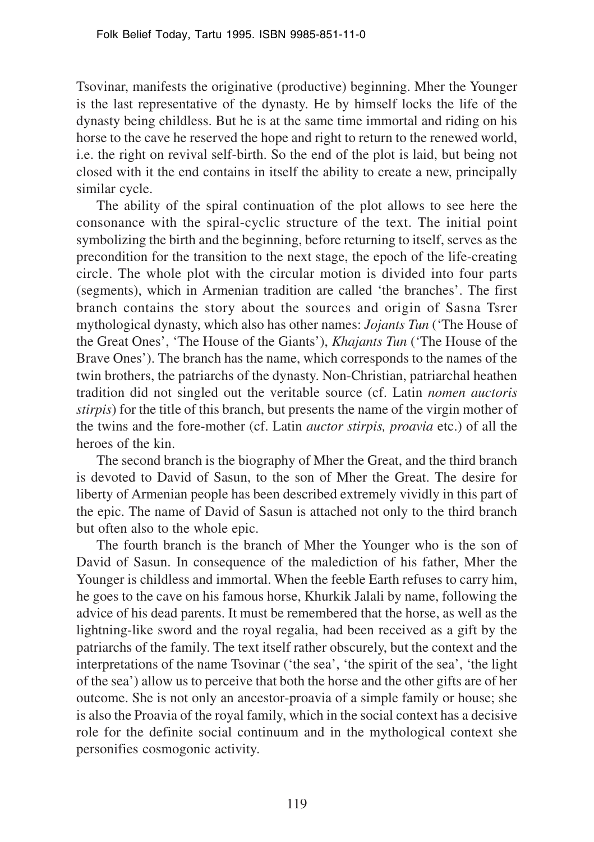Tsovinar, manifests the originative (productive) beginning. Mher the Younger is the last representative of the dynasty. He by himself locks the life of the dynasty being childless. But he is at the same time immortal and riding on his horse to the cave he reserved the hope and right to return to the renewed world, i.e. the right on revival self-birth. So the end of the plot is laid, but being not closed with it the end contains in itself the ability to create a new, principally similar cycle.

The ability of the spiral continuation of the plot allows to see here the consonance with the spiral-cyclic structure of the text. The initial point symbolizing the birth and the beginning, before returning to itself, serves as the precondition for the transition to the next stage, the epoch of the life-creating circle. The whole plot with the circular motion is divided into four parts (segments), which in Armenian tradition are called 'the branches'. The first branch contains the story about the sources and origin of Sasna Tsrer mythological dynasty, which also has other names: *Jojants Tun* ('The House of the Great Ones', 'The House of the Giants'), *Khajants Tun* ('The House of the Brave Ones'). The branch has the name, which corresponds to the names of the twin brothers, the patriarchs of the dynasty. Non-Christian, patriarchal heathen tradition did not singled out the veritable source (cf. Latin *nomen auctoris stirpis*) for the title of this branch, but presents the name of the virgin mother of the twins and the fore-mother (cf. Latin *auctor stirpis, proavia* etc.) of all the heroes of the kin.

The second branch is the biography of Mher the Great, and the third branch is devoted to David of Sasun, to the son of Mher the Great. The desire for liberty of Armenian people has been described extremely vividly in this part of the epic. The name of David of Sasun is attached not only to the third branch but often also to the whole epic.

The fourth branch is the branch of Mher the Younger who is the son of David of Sasun. In consequence of the malediction of his father, Mher the Younger is childless and immortal. When the feeble Earth refuses to carry him, he goes to the cave on his famous horse, Khurkik Jalali by name, following the advice of his dead parents. It must be remembered that the horse, as well as the lightning-like sword and the royal regalia, had been received as a gift by the patriarchs of the family. The text itself rather obscurely, but the context and the interpretations of the name Tsovinar ('the sea', 'the spirit of the sea', 'the light of the sea') allow us to perceive that both the horse and the other gifts are of her outcome. She is not only an ancestor-proavia of a simple family or house; she is also the Proavia of the royal family, which in the social context has a decisive role for the definite social continuum and in the mythological context she personifies cosmogonic activity.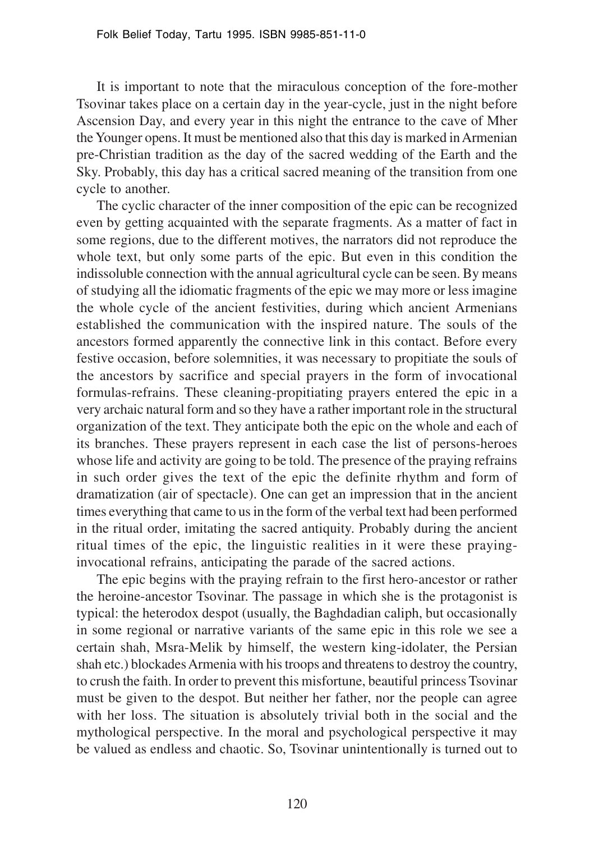It is important to note that the miraculous conception of the fore-mother Tsovinar takes place on a certain day in the year-cycle, just in the night before Ascension Day, and every year in this night the entrance to the cave of Mher the Younger opens. It must be mentioned also that this day is marked in Armenian pre-Christian tradition as the day of the sacred wedding of the Earth and the Sky. Probably, this day has a critical sacred meaning of the transition from one cycle to another.

The cyclic character of the inner composition of the epic can be recognized even by getting acquainted with the separate fragments. As a matter of fact in some regions, due to the different motives, the narrators did not reproduce the whole text, but only some parts of the epic. But even in this condition the indissoluble connection with the annual agricultural cycle can be seen. By means of studying all the idiomatic fragments of the epic we may more or less imagine the whole cycle of the ancient festivities, during which ancient Armenians established the communication with the inspired nature. The souls of the ancestors formed apparently the connective link in this contact. Before every festive occasion, before solemnities, it was necessary to propitiate the souls of the ancestors by sacrifice and special prayers in the form of invocational formulas-refrains. These cleaning-propitiating prayers entered the epic in a very archaic natural form and so they have a rather important role in the structural organization of the text. They anticipate both the epic on the whole and each of its branches. These prayers represent in each case the list of persons-heroes whose life and activity are going to be told. The presence of the praying refrains in such order gives the text of the epic the definite rhythm and form of dramatization (air of spectacle). One can get an impression that in the ancient times everything that came to us in the form of the verbal text had been performed in the ritual order, imitating the sacred antiquity. Probably during the ancient ritual times of the epic, the linguistic realities in it were these prayinginvocational refrains, anticipating the parade of the sacred actions.

The epic begins with the praying refrain to the first hero-ancestor or rather the heroine-ancestor Tsovinar. The passage in which she is the protagonist is typical: the heterodox despot (usually, the Baghdadian caliph, but occasionally in some regional or narrative variants of the same epic in this role we see a certain shah, Msra-Melik by himself, the western king-idolater, the Persian shah etc.) blockades Armenia with his troops and threatens to destroy the country, to crush the faith. In order to prevent this misfortune, beautiful princess Tsovinar must be given to the despot. But neither her father, nor the people can agree with her loss. The situation is absolutely trivial both in the social and the mythological perspective. In the moral and psychological perspective it may be valued as endless and chaotic. So, Tsovinar unintentionally is turned out to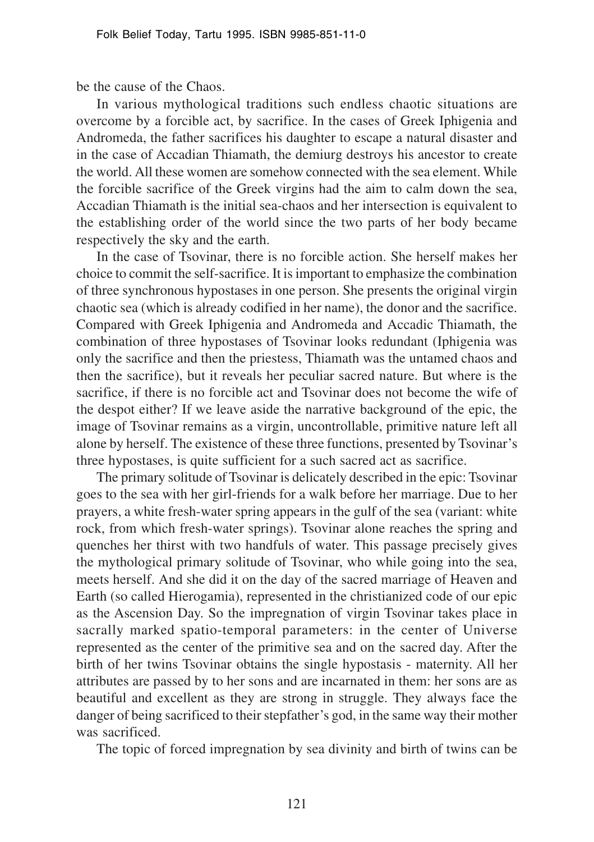be the cause of the Chaos.

In various mythological traditions such endless chaotic situations are overcome by a forcible act, by sacrifice. In the cases of Greek Iphigenia and Andromeda, the father sacrifices his daughter to escape a natural disaster and in the case of Accadian Thiamath, the demiurg destroys his ancestor to create the world. All these women are somehow connected with the sea element. While the forcible sacrifice of the Greek virgins had the aim to calm down the sea, Accadian Thiamath is the initial sea-chaos and her intersection is equivalent to the establishing order of the world since the two parts of her body became respectively the sky and the earth.

In the case of Tsovinar, there is no forcible action. She herself makes her choice to commit the self-sacrifice. It is important to emphasize the combination of three synchronous hypostases in one person. She presents the original virgin chaotic sea (which is already codified in her name), the donor and the sacrifice. Compared with Greek Iphigenia and Andromeda and Accadic Thiamath, the combination of three hypostases of Tsovinar looks redundant (Iphigenia was only the sacrifice and then the priestess, Thiamath was the untamed chaos and then the sacrifice), but it reveals her peculiar sacred nature. But where is the sacrifice, if there is no forcible act and Tsovinar does not become the wife of the despot either? If we leave aside the narrative background of the epic, the image of Tsovinar remains as a virgin, uncontrollable, primitive nature left all alone by herself. The existence of these three functions, presented by Tsovinar's three hypostases, is quite sufficient for a such sacred act as sacrifice.

The primary solitude of Tsovinar is delicately described in the epic: Tsovinar goes to the sea with her girl-friends for a walk before her marriage. Due to her prayers, a white fresh-water spring appears in the gulf of the sea (variant: white rock, from which fresh-water springs). Tsovinar alone reaches the spring and quenches her thirst with two handfuls of water. This passage precisely gives the mythological primary solitude of Tsovinar, who while going into the sea, meets herself. And she did it on the day of the sacred marriage of Heaven and Earth (so called Hierogamia), represented in the christianized code of our epic as the Ascension Day. So the impregnation of virgin Tsovinar takes place in sacrally marked spatio-temporal parameters: in the center of Universe represented as the center of the primitive sea and on the sacred day. After the birth of her twins Tsovinar obtains the single hypostasis - maternity. All her attributes are passed by to her sons and are incarnated in them: her sons are as beautiful and excellent as they are strong in struggle. They always face the danger of being sacrificed to their stepfather's god, in the same way their mother was sacrificed.

The topic of forced impregnation by sea divinity and birth of twins can be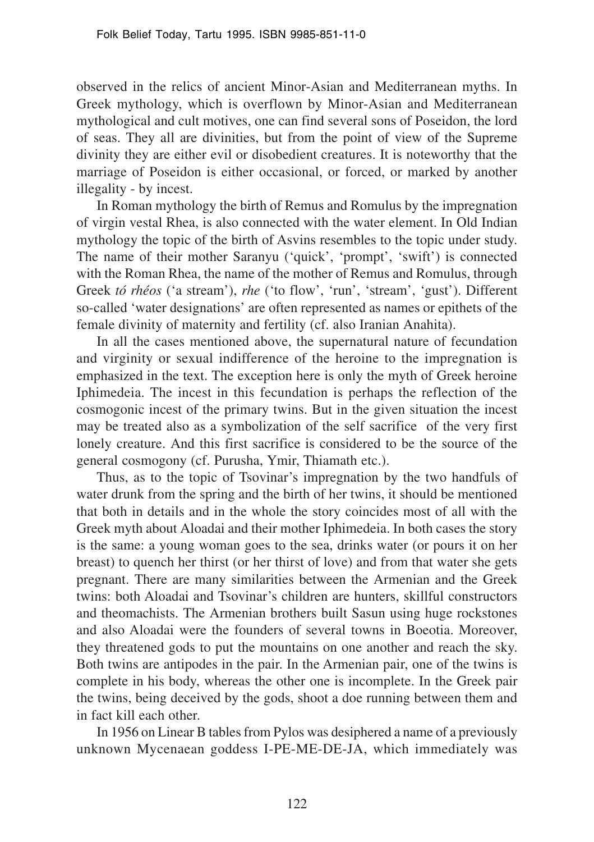observed in the relics of ancient Minor-Asian and Mediterranean myths. In Greek mythology, which is overflown by Minor-Asian and Mediterranean mythological and cult motives, one can find several sons of Poseidon, the lord of seas. They all are divinities, but from the point of view of the Supreme divinity they are either evil or disobedient creatures. It is noteworthy that the marriage of Poseidon is either occasional, or forced, or marked by another illegality - by incest.

In Roman mythology the birth of Remus and Romulus by the impregnation of virgin vestal Rhea, is also connected with the water element. In Old Indian mythology the topic of the birth of Asvins resembles to the topic under study. The name of their mother Saranyu ('quick', 'prompt', 'swift') is connected with the Roman Rhea, the name of the mother of Remus and Romulus, through Greek *tó rhéos* ('a stream'), *rhe* ('to flow', 'run', 'stream', 'gust'). Different so-called 'water designations' are often represented as names or epithets of the female divinity of maternity and fertility (cf. also Iranian Anahita).

In all the cases mentioned above, the supernatural nature of fecundation and virginity or sexual indifference of the heroine to the impregnation is emphasized in the text. The exception here is only the myth of Greek heroine Iphimedeia. The incest in this fecundation is perhaps the reflection of the cosmogonic incest of the primary twins. But in the given situation the incest may be treated also as a symbolization of the self sacrifice of the very first lonely creature. And this first sacrifice is considered to be the source of the general cosmogony (cf. Purusha, Ymir, Thiamath etc.).

Thus, as to the topic of Tsovinar's impregnation by the two handfuls of water drunk from the spring and the birth of her twins, it should be mentioned that both in details and in the whole the story coincides most of all with the Greek myth about Aloadai and their mother Iphimedeia. In both cases the story is the same: a young woman goes to the sea, drinks water (or pours it on her breast) to quench her thirst (or her thirst of love) and from that water she gets pregnant. There are many similarities between the Armenian and the Greek twins: both Aloadai and Tsovinar's children are hunters, skillful constructors and theomachists. The Armenian brothers built Sasun using huge rockstones and also Aloadai were the founders of several towns in Boeotia. Moreover, they threatened gods to put the mountains on one another and reach the sky. Both twins are antipodes in the pair. In the Armenian pair, one of the twins is complete in his body, whereas the other one is incomplete. In the Greek pair the twins, being deceived by the gods, shoot a doe running between them and in fact kill each other.

In 1956 on Linear B tables from Pylos was desiphered a name of a previously unknown Mycenaean goddess I-PE-ME-DE-JA, which immediately was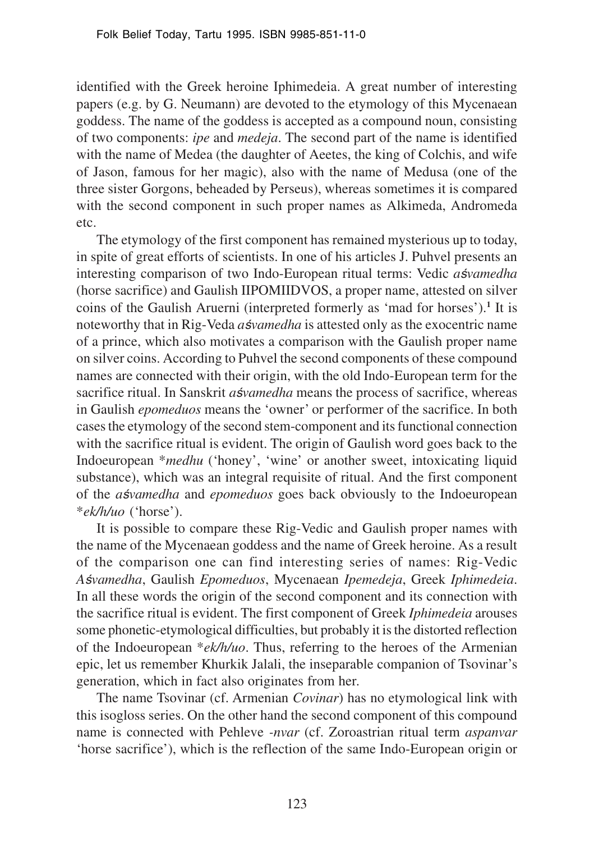identified with the Greek heroine Iphimedeia. A great number of interesting papers (e.g. by G. Neumann) are devoted to the etymology of this Mycenaean goddess. The name of the goddess is accepted as a compound noun, consisting of two components: *ipe* and *medeja*. The second part of the name is identified with the name of Medea (the daughter of Aeetes, the king of Colchis, and wife of Jason, famous for her magic), also with the name of Medusa (one of the three sister Gorgons, beheaded by Perseus), whereas sometimes it is compared with the second component in such proper names as Alkimeda, Andromeda etc.

The etymology of the first component has remained mysterious up to today, in spite of great efforts of scientists. In one of his articles J. Puhvel presents an interesting comparison of two Indo-European ritual terms: Vedic *aśvamedha* (horse sacrifice) and Gaulish IIPOMIIDVOS, a proper name, attested on silver coins of the Gaulish Aruerni (interpreted formerly as 'mad for horses').<sup>1</sup> It is noteworthy that in Rig-Veda *a*s*/vamedha* is attested only as the exocentric name of a prince, which also motivates a comparison with the Gaulish proper name on silver coins. According to Puhvel the second components of these compound names are connected with their origin, with the old Indo-European term for the sacrifice ritual. In Sanskrit *a*svamedha means the process of sacrifice, whereas in Gaulish *epomeduos* means the 'owner' or performer of the sacrifice. In both cases the etymology of the second stem-component and its functional connection with the sacrifice ritual is evident. The origin of Gaulish word goes back to the Indoeuropean \**medhu* ('honey', 'wine' or another sweet, intoxicating liquid substance), which was an integral requisite of ritual. And the first component of the *a*svamedha and *epomeduos* goes back obviously to the Indoeuropean \**ek/h/uo* ('horse').

It is possible to compare these Rig-Vedic and Gaulish proper names with the name of the Mycenaean goddess and the name of Greek heroine. As a result of the comparison one can find interesting series of names: Rig-Vedic *A*¿*vamedha*, Gaulish *Epomeduos*, Mycenaean *Ipemedeja*, Greek *Iphimedeia*. In all these words the origin of the second component and its connection with the sacrifice ritual is evident. The first component of Greek *Iphimedeia* arouses some phonetic-etymological difficulties, but probably it is the distorted reflection of the Indoeuropean \**ek/h/uo*. Thus, referring to the heroes of the Armenian epic, let us remember Khurkik Jalali, the inseparable companion of Tsovinar's generation, which in fact also originates from her.

The name Tsovinar (cf. Armenian *Covinar*) has no etymological link with this isogloss series. On the other hand the second component of this compound name is connected with Pehleve *-nvar* (cf. Zoroastrian ritual term *aspanvar* 'horse sacrifice'), which is the reflection of the same Indo-European origin or